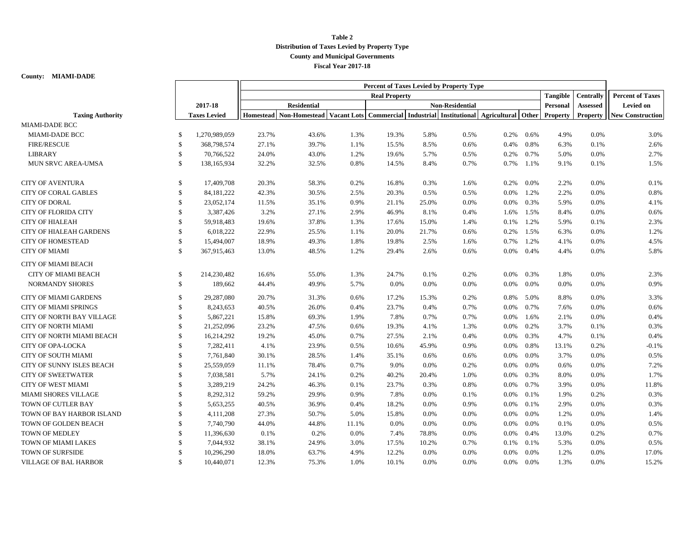## **Table 2 Distribution of Taxes Levied by Property Type County and Municipal Governments Fiscal Year 2017-18**

## **County: MIAMI-DADE**

|                                |               |                     | Percent of Taxes Levied by Property Type |                                                                         |       |                        |       |      |                           |                 |                  |                         |                         |
|--------------------------------|---------------|---------------------|------------------------------------------|-------------------------------------------------------------------------|-------|------------------------|-------|------|---------------------------|-----------------|------------------|-------------------------|-------------------------|
|                                |               |                     | <b>Real Property</b>                     |                                                                         |       |                        |       |      |                           | <b>Tangible</b> | <b>Centrally</b> | <b>Percent of Taxes</b> |                         |
|                                |               | 2017-18             | <b>Residential</b>                       |                                                                         |       | <b>Non-Residential</b> |       |      |                           |                 | Personal         | <b>Assessed</b>         | Levied on               |
| <b>Taxing Authority</b>        |               | <b>Taxes Levied</b> |                                          | Homestead Non-Homestead Vacant Lots Commercial Industrial Institutional |       |                        |       |      | <b>Agricultural</b> Other |                 | <b>Property</b>  | <b>Property</b>         | <b>New Construction</b> |
| <b>MIAMI-DADE BCC</b>          |               |                     |                                          |                                                                         |       |                        |       |      |                           |                 |                  |                         |                         |
| MIAMI-DADE BCC                 | <sup>\$</sup> | 1,270,989,059       | 23.7%                                    | 43.6%                                                                   | 1.3%  | 19.3%                  | 5.8%  | 0.5% | 0.2%                      | 0.6%            | 4.9%             | 0.0%                    | 3.0%                    |
| <b>FIRE/RESCUE</b>             | \$            | 368,798,574         | 27.1%                                    | 39.7%                                                                   | 1.1%  | 15.5%                  | 8.5%  | 0.6% | 0.4%                      | 0.8%            | 6.3%             | 0.1%                    | 2.6%                    |
| <b>LIBRARY</b>                 | <sup>\$</sup> | 70,766,522          | 24.0%                                    | 43.0%                                                                   | 1.2%  | 19.6%                  | 5.7%  | 0.5% | 0.2%                      | 0.7%            | 5.0%             | 0.0%                    | 2.7%                    |
| MUN SRVC AREA-UMSA             | \$            | 138,165,934         | 32.2%                                    | 32.5%                                                                   | 0.8%  | 14.5%                  | 8.4%  | 0.7% | 0.7%                      | 1.1%            | 9.1%             | 0.1%                    | 1.5%                    |
| <b>CITY OF AVENTURA</b>        | \$            | 17,409,708          | 20.3%                                    | 58.3%                                                                   | 0.2%  | 16.8%                  | 0.3%  | 1.6% | 0.2%                      | 0.0%            | 2.2%             | 0.0%                    | 0.1%                    |
| <b>CITY OF CORAL GABLES</b>    | \$            | 84, 181, 222        | 42.3%                                    | 30.5%                                                                   | 2.5%  | 20.3%                  | 0.5%  | 0.5% | $0.0\%$                   | 1.2%            | 2.2%             | 0.0%                    | 0.8%                    |
| <b>CITY OF DORAL</b>           | \$            | 23,052,174          | 11.5%                                    | 35.1%                                                                   | 0.9%  | 21.1%                  | 25.0% | 0.0% | $0.0\%$                   | 0.3%            | 5.9%             | 0.0%                    | 4.1%                    |
| <b>CITY OF FLORIDA CITY</b>    | \$            | 3,387,426           | 3.2%                                     | 27.1%                                                                   | 2.9%  | 46.9%                  | 8.1%  | 0.4% | 1.6%                      | 1.5%            | 8.4%             | 0.0%                    | 0.6%                    |
| <b>CITY OF HIALEAH</b>         | \$            | 59,918,483          | 19.6%                                    | 37.8%                                                                   | 1.3%  | 17.6%                  | 15.0% | 1.4% | 0.1%                      | 1.2%            | 5.9%             | 0.1%                    | 2.3%                    |
| <b>CITY OF HIALEAH GARDENS</b> | \$            | 6,018,222           | 22.9%                                    | 25.5%                                                                   | 1.1%  | 20.0%                  | 21.7% | 0.6% | 0.2%                      | 1.5%            | 6.3%             | 0.0%                    | 1.2%                    |
| <b>CITY OF HOMESTEAD</b>       | $\mathcal{S}$ | 15,494,007          | 18.9%                                    | 49.3%                                                                   | 1.8%  | 19.8%                  | 2.5%  | 1.6% | 0.7%                      | 1.2%            | 4.1%             | 0.0%                    | 4.5%                    |
| <b>CITY OF MIAMI</b>           | $\mathcal{S}$ | 367,915,463         | 13.0%                                    | 48.5%                                                                   | 1.2%  | 29.4%                  | 2.6%  | 0.6% | $0.0\%$                   | 0.4%            | 4.4%             | 0.0%                    | 5.8%                    |
| <b>CITY OF MIAMI BEACH</b>     |               |                     |                                          |                                                                         |       |                        |       |      |                           |                 |                  |                         |                         |
| <b>CITY OF MIAMI BEACH</b>     | <sup>\$</sup> | 214,230,482         | 16.6%                                    | 55.0%                                                                   | 1.3%  | 24.7%                  | 0.1%  | 0.2% | $0.0\%$                   | 0.3%            | 1.8%             | 0.0%                    | 2.3%                    |
| <b>NORMANDY SHORES</b>         | \$            | 189,662             | 44.4%                                    | 49.9%                                                                   | 5.7%  | 0.0%                   | 0.0%  | 0.0% | $0.0\%$                   | $0.0\%$         | 0.0%             | 0.0%                    | 0.9%                    |
| <b>CITY OF MIAMI GARDENS</b>   | \$            | 29,287,080          | 20.7%                                    | 31.3%                                                                   | 0.6%  | 17.2%                  | 15.3% | 0.2% | 0.8%                      | 5.0%            | 8.8%             | 0.0%                    | 3.3%                    |
| <b>CITY OF MIAMI SPRINGS</b>   | \$            | 8,243,653           | 40.5%                                    | 26.0%                                                                   | 0.4%  | 23.7%                  | 0.4%  | 0.7% | $0.0\%$                   | 0.7%            | 7.6%             | 0.0%                    | 0.6%                    |
| CITY OF NORTH BAY VILLAGE      | <sup>\$</sup> | 5,867,221           | 15.8%                                    | 69.3%                                                                   | 1.9%  | 7.8%                   | 0.7%  | 0.7% | $0.0\%$                   | 1.6%            | 2.1%             | 0.0%                    | 0.4%                    |
| <b>CITY OF NORTH MIAMI</b>     | \$            | 21,252,096          | 23.2%                                    | 47.5%                                                                   | 0.6%  | 19.3%                  | 4.1%  | 1.3% | $0.0\%$                   | 0.2%            | 3.7%             | 0.1%                    | 0.3%                    |
| CITY OF NORTH MIAMI BEACH      | \$            | 16,214,292          | 19.2%                                    | 45.0%                                                                   | 0.7%  | 27.5%                  | 2.1%  | 0.4% | $0.0\%$                   | 0.3%            | 4.7%             | 0.1%                    | 0.4%                    |
| CITY OF OPA-LOCKA              | \$            | 7,282,411           | 4.1%                                     | 23.9%                                                                   | 0.5%  | 10.6%                  | 45.9% | 0.9% | $0.0\%$                   | 0.8%            | 13.1%            | 0.2%                    | $-0.1%$                 |
| CITY OF SOUTH MIAMI            | \$            | 7,761,840           | 30.1%                                    | 28.5%                                                                   | 1.4%  | 35.1%                  | 0.6%  | 0.6% | $0.0\%$                   | 0.0%            | 3.7%             | 0.0%                    | 0.5%                    |
| CITY OF SUNNY ISLES BEACH      | $\mathcal{S}$ | 25,559,059          | 11.1%                                    | 78.4%                                                                   | 0.7%  | 9.0%                   | 0.0%  | 0.2% | $0.0\%$                   | 0.0%            | 0.6%             | 0.0%                    | 7.2%                    |
| <b>CITY OF SWEETWATER</b>      | $\mathbb{S}$  | 7,038,581           | 5.7%                                     | 24.1%                                                                   | 0.2%  | 40.2%                  | 20.4% | 1.0% | $0.0\%$                   | 0.3%            | 8.0%             | 0.0%                    | 1.7%                    |
| <b>CITY OF WEST MIAMI</b>      | \$            | 3,289,219           | 24.2%                                    | 46.3%                                                                   | 0.1%  | 23.7%                  | 0.3%  | 0.8% | $0.0\%$                   | 0.7%            | 3.9%             | 0.0%                    | 11.8%                   |
| <b>MIAMI SHORES VILLAGE</b>    | <sup>\$</sup> | 8,292,312           | 59.2%                                    | 29.9%                                                                   | 0.9%  | 7.8%                   | 0.0%  | 0.1% | $0.0\%$                   | 0.1%            | 1.9%             | 0.2%                    | 0.3%                    |
| TOWN OF CUTLER BAY             | <sup>\$</sup> | 5,653,255           | 40.5%                                    | 36.9%                                                                   | 0.4%  | 18.2%                  | 0.0%  | 0.9% | $0.0\%$                   | 0.1%            | 2.9%             | 0.0%                    | 0.3%                    |
| TOWN OF BAY HARBOR ISLAND      | \$            | 4,111,208           | 27.3%                                    | 50.7%                                                                   | 5.0%  | 15.8%                  | 0.0%  | 0.0% | $0.0\%$                   | 0.0%            | 1.2%             | 0.0%                    | 1.4%                    |
| TOWN OF GOLDEN BEACH           | <sup>\$</sup> | 7,740,790           | 44.0%                                    | 44.8%                                                                   | 11.1% | 0.0%                   | 0.0%  | 0.0% | 0.0%                      | 0.0%            | 0.1%             | 0.0%                    | 0.5%                    |
| TOWN OF MEDLEY                 | \$            | 11,396,630          | 0.1%                                     | 0.2%                                                                    | 0.0%  | 7.4%                   | 78.8% | 0.0% | $0.0\%$                   | 0.4%            | 13.0%            | 0.2%                    | 0.7%                    |
| TOWN OF MIAMI LAKES            | <sup>\$</sup> | 7,044,932           | 38.1%                                    | 24.9%                                                                   | 3.0%  | 17.5%                  | 10.2% | 0.7% | 0.1%                      | 0.1%            | 5.3%             | 0.0%                    | 0.5%                    |
| TOWN OF SURFSIDE               | -S            | 10,296,290          | 18.0%                                    | 63.7%                                                                   | 4.9%  | 12.2%                  | 0.0%  | 0.0% | $0.0\%$                   | 0.0%            | 1.2%             | 0.0%                    | 17.0%                   |
| <b>VILLAGE OF BAL HARBOR</b>   | \$            | 10,440,071          | 12.3%                                    | 75.3%                                                                   | 1.0%  | 10.1%                  | 0.0%  | 0.0% | $0.0\%$                   | 0.0%            | 1.3%             | 0.0%                    | 15.2%                   |